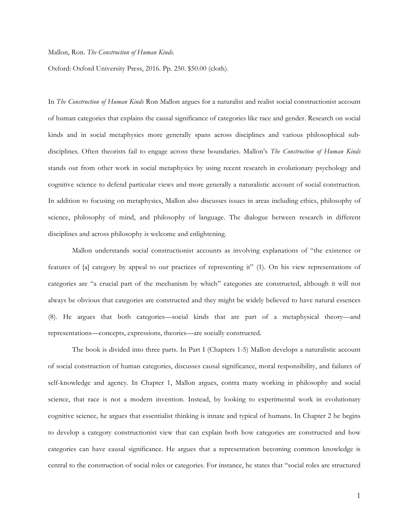## Mallon, Ron. *The Construction of Human Kinds.*

Oxford: Oxford University Press, 2016. Pp. 250. \$50.00 (cloth).

In *The Construction of Human Kinds* Ron Mallon argues for a naturalist and realist social constructionist account of human categories that explains the causal significance of categories like race and gender. Research on social kinds and in social metaphysics more generally spans across disciplines and various philosophical subdisciplines. Often theorists fail to engage across these boundaries. Mallon's *The Construction of Human Kinds* stands out from other work in social metaphysics by using recent research in evolutionary psychology and cognitive science to defend particular views and more generally a naturalistic account of social construction. In addition to focusing on metaphysics, Mallon also discusses issues in areas including ethics, philosophy of science, philosophy of mind, and philosophy of language. The dialogue between research in different disciplines and across philosophy is welcome and enlightening.

Mallon understands social constructionist accounts as involving explanations of "the existence or features of [a] category by appeal to our practices of representing it" (1). On his view representations of categories are "a crucial part of the mechanism by which" categories are constructed, although it will not always be obvious that categories are constructed and they might be widely believed to have natural essences (8). He argues that both categories—social kinds that are part of a metaphysical theory—and representations—concepts, expressions, theories—are socially constructed.

The book is divided into three parts. In Part I (Chapters 1-5) Mallon develops a naturalistic account of social construction of human categories, discusses causal significance, moral responsibility, and failures of self-knowledge and agency. In Chapter 1, Mallon argues, contra many working in philosophy and social science, that race is not a modern invention. Instead, by looking to experimental work in evolutionary cognitive science, he argues that essentialist thinking is innate and typical of humans. In Chapter 2 he begins to develop a category constructionist view that can explain both how categories are constructed and how categories can have causal significance. He argues that a representation becoming common knowledge is central to the construction of social roles or categories. For instance, he states that "social roles are structured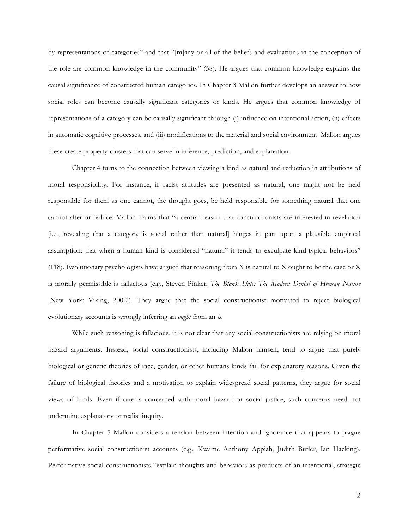by representations of categories" and that "[m]any or all of the beliefs and evaluations in the conception of the role are common knowledge in the community" (58). He argues that common knowledge explains the causal significance of constructed human categories. In Chapter 3 Mallon further develops an answer to how social roles can become causally significant categories or kinds. He argues that common knowledge of representations of a category can be causally significant through (i) influence on intentional action, (ii) effects in automatic cognitive processes, and (iii) modifications to the material and social environment. Mallon argues these create property-clusters that can serve in inference, prediction, and explanation.

Chapter 4 turns to the connection between viewing a kind as natural and reduction in attributions of moral responsibility. For instance, if racist attitudes are presented as natural, one might not be held responsible for them as one cannot, the thought goes, be held responsible for something natural that one cannot alter or reduce. Mallon claims that "a central reason that constructionists are interested in revelation [i.e., revealing that a category is social rather than natural] hinges in part upon a plausible empirical assumption: that when a human kind is considered "natural" it tends to exculpate kind-typical behaviors" (118). Evolutionary psychologists have argued that reasoning from X is natural to X ought to be the case or X is morally permissible is fallacious (e.g., Steven Pinker, *The Blank Slate: The Modern Denial of Human Nature* [New York: Viking, 2002]). They argue that the social constructionist motivated to reject biological evolutionary accounts is wrongly inferring an *ought* from an *is*.

While such reasoning is fallacious, it is not clear that any social constructionists are relying on moral hazard arguments. Instead, social constructionists, including Mallon himself, tend to argue that purely biological or genetic theories of race, gender, or other humans kinds fail for explanatory reasons. Given the failure of biological theories and a motivation to explain widespread social patterns, they argue for social views of kinds. Even if one is concerned with moral hazard or social justice, such concerns need not undermine explanatory or realist inquiry.

In Chapter 5 Mallon considers a tension between intention and ignorance that appears to plague performative social constructionist accounts (e.g., Kwame Anthony Appiah, Judith Butler, Ian Hacking). Performative social constructionists "explain thoughts and behaviors as products of an intentional, strategic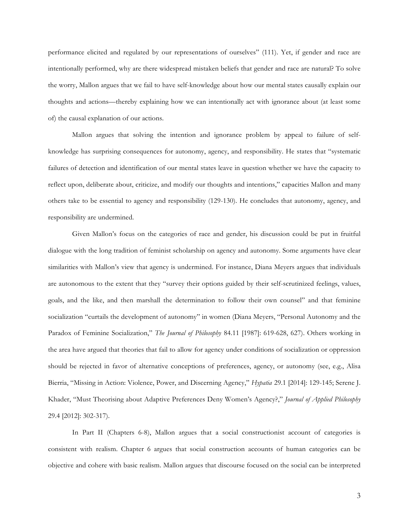performance elicited and regulated by our representations of ourselves" (111). Yet, if gender and race are intentionally performed, why are there widespread mistaken beliefs that gender and race are natural? To solve the worry, Mallon argues that we fail to have self-knowledge about how our mental states causally explain our thoughts and actions—thereby explaining how we can intentionally act with ignorance about (at least some of) the causal explanation of our actions.

Mallon argues that solving the intention and ignorance problem by appeal to failure of selfknowledge has surprising consequences for autonomy, agency, and responsibility. He states that "systematic failures of detection and identification of our mental states leave in question whether we have the capacity to reflect upon, deliberate about, criticize, and modify our thoughts and intentions," capacities Mallon and many others take to be essential to agency and responsibility (129-130). He concludes that autonomy, agency, and responsibility are undermined.

Given Mallon's focus on the categories of race and gender, his discussion could be put in fruitful dialogue with the long tradition of feminist scholarship on agency and autonomy. Some arguments have clear similarities with Mallon's view that agency is undermined. For instance, Diana Meyers argues that individuals are autonomous to the extent that they "survey their options guided by their self-scrutinized feelings, values, goals, and the like, and then marshall the determination to follow their own counsel" and that feminine socialization "curtails the development of autonomy" in women (Diana Meyers, "Personal Autonomy and the Paradox of Feminine Socialization," *The Journal of Philosophy* 84.11 [1987]: 619-628, 627). Others working in the area have argued that theories that fail to allow for agency under conditions of socialization or oppression should be rejected in favor of alternative conceptions of preferences, agency, or autonomy (see, e.g., Alisa Bierria, "Missing in Action: Violence, Power, and Discerning Agency," *Hypatia* 29.1 [2014]: 129-145; Serene J. Khader, "Must Theorising about Adaptive Preferences Deny Women's Agency?," *Journal of Applied Philosophy* 29.4 [2012]: 302-317).

In Part II (Chapters 6-8), Mallon argues that a social constructionist account of categories is consistent with realism. Chapter 6 argues that social construction accounts of human categories can be objective and cohere with basic realism. Mallon argues that discourse focused on the social can be interpreted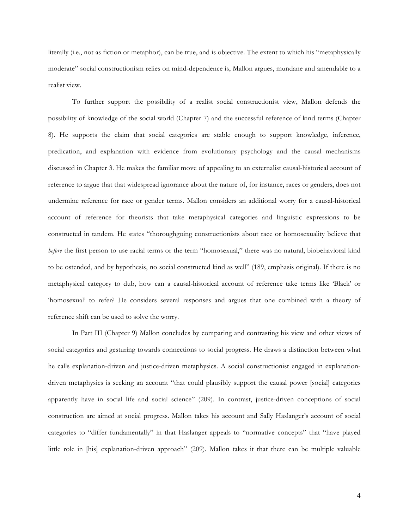literally (i.e., not as fiction or metaphor), can be true, and is objective. The extent to which his "metaphysically moderate" social constructionism relies on mind-dependence is, Mallon argues, mundane and amendable to a realist view.

To further support the possibility of a realist social constructionist view, Mallon defends the possibility of knowledge of the social world (Chapter 7) and the successful reference of kind terms (Chapter 8). He supports the claim that social categories are stable enough to support knowledge, inference, predication, and explanation with evidence from evolutionary psychology and the causal mechanisms discussed in Chapter 3. He makes the familiar move of appealing to an externalist causal-historical account of reference to argue that that widespread ignorance about the nature of, for instance, races or genders, does not undermine reference for race or gender terms. Mallon considers an additional worry for a causal-historical account of reference for theorists that take metaphysical categories and linguistic expressions to be constructed in tandem. He states "thoroughgoing constructionists about race or homosexuality believe that *before* the first person to use racial terms or the term "homosexual," there was no natural, biobehavioral kind to be ostended, and by hypothesis, no social constructed kind as well" (189, emphasis original). If there is no metaphysical category to dub, how can a causal-historical account of reference take terms like 'Black' or 'homosexual' to refer? He considers several responses and argues that one combined with a theory of reference shift can be used to solve the worry.

In Part III (Chapter 9) Mallon concludes by comparing and contrasting his view and other views of social categories and gesturing towards connections to social progress. He draws a distinction between what he calls explanation-driven and justice-driven metaphysics. A social constructionist engaged in explanationdriven metaphysics is seeking an account "that could plausibly support the causal power [social] categories apparently have in social life and social science" (209). In contrast, justice-driven conceptions of social construction are aimed at social progress. Mallon takes his account and Sally Haslanger's account of social categories to "differ fundamentally" in that Haslanger appeals to "normative concepts" that "have played little role in [his] explanation-driven approach" (209). Mallon takes it that there can be multiple valuable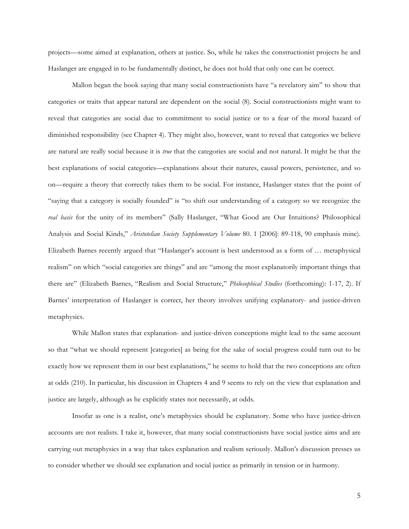projects—some aimed at explanation, others at justice. So, while he takes the constructionist projects he and Haslanger are engaged in to be fundamentally distinct, he does not hold that only one can be correct.

Mallon began the book saying that many social constructionists have "a revelatory aim" to show that categories or traits that appear natural are dependent on the social (8). Social constructionists might want to reveal that categories are social due to commitment to social justice or to a fear of the moral hazard of diminished responsibility (see Chapter 4). They might also, however, want to reveal that categories we believe are natural are really social because it is *true* that the categories are social and not natural. It might be that the best explanations of social categories—explanations about their natures, causal powers, persistence, and so on—require a theory that correctly takes them to be social. For instance, Haslanger states that the point of "saying that a category is socially founded" is "to shift our understanding of a category so we recognize the *real basis* for the unity of its members" (Sally Haslanger, "What Good are Our Intuitions? Philosophical Analysis and Social Kinds," *Aristotelian Society Supplementary Volume* 80. 1 [2006]: 89-118, 90 emphasis mine). Elizabeth Barnes recently argued that "Haslanger's account is best understood as a form of … metaphysical realism" on which "social categories are things" and are "among the most explanatorily important things that there are" (Elizabeth Barnes, "Realism and Social Structure," *Philosophical Studies* (forthcoming): 1-17, 2). If Barnes' interpretation of Haslanger is correct, her theory involves unifying explanatory- and justice-driven metaphysics.

While Mallon states that explanation- and justice-driven conceptions might lead to the same account so that "what we should represent [categories] as being for the sake of social progress could turn out to be exactly how we represent them in our best explanations," he seems to hold that the two conceptions are often at odds (210). In particular, his discussion in Chapters 4 and 9 seems to rely on the view that explanation and justice are largely, although as he explicitly states not necessarily, at odds.

Insofar as one is a realist, one's metaphysics should be explanatory. Some who have justice-driven accounts are not realists. I take it, however, that many social constructionists have social justice aims and are carrying out metaphysics in a way that takes explanation and realism seriously. Mallon's discussion presses us to consider whether we should see explanation and social justice as primarily in tension or in harmony.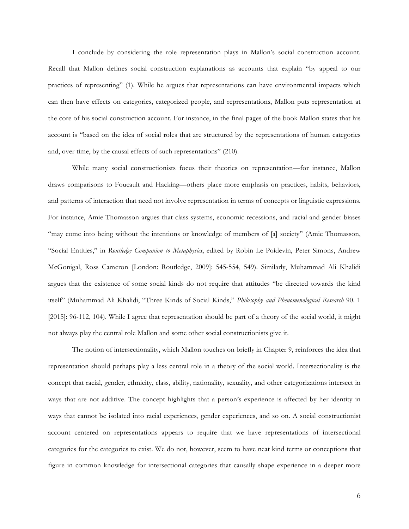I conclude by considering the role representation plays in Mallon's social construction account. Recall that Mallon defines social construction explanations as accounts that explain "by appeal to our practices of representing" (1). While he argues that representations can have environmental impacts which can then have effects on categories, categorized people, and representations, Mallon puts representation at the core of his social construction account. For instance, in the final pages of the book Mallon states that his account is "based on the idea of social roles that are structured by the representations of human categories and, over time, by the causal effects of such representations" (210).

While many social constructionists focus their theories on representation—for instance, Mallon draws comparisons to Foucault and Hacking—others place more emphasis on practices, habits, behaviors, and patterns of interaction that need not involve representation in terms of concepts or linguistic expressions. For instance, Amie Thomasson argues that class systems, economic recessions, and racial and gender biases "may come into being without the intentions or knowledge of members of [a] society" (Amie Thomasson, "Social Entities," in *Routledge Companion to Metaphysics*, edited by Robin Le Poidevin, Peter Simons, Andrew McGonigal, Ross Cameron [London: Routledge, 2009]: 545-554, 549). Similarly, Muhammad Ali Khalidi argues that the existence of some social kinds do not require that attitudes "be directed towards the kind itself" (Muhammad Ali Khalidi, "Three Kinds of Social Kinds," *Philosophy and Phenomenological Research* 90. 1 [2015]: 96-112, 104). While I agree that representation should be part of a theory of the social world, it might not always play the central role Mallon and some other social constructionists give it.

The notion of intersectionality, which Mallon touches on briefly in Chapter 9, reinforces the idea that representation should perhaps play a less central role in a theory of the social world. Intersectionality is the concept that racial, gender, ethnicity, class, ability, nationality, sexuality, and other categorizations intersect in ways that are not additive. The concept highlights that a person's experience is affected by her identity in ways that cannot be isolated into racial experiences, gender experiences, and so on. A social constructionist account centered on representations appears to require that we have representations of intersectional categories for the categories to exist. We do not, however, seem to have neat kind terms or conceptions that figure in common knowledge for intersectional categories that causally shape experience in a deeper more